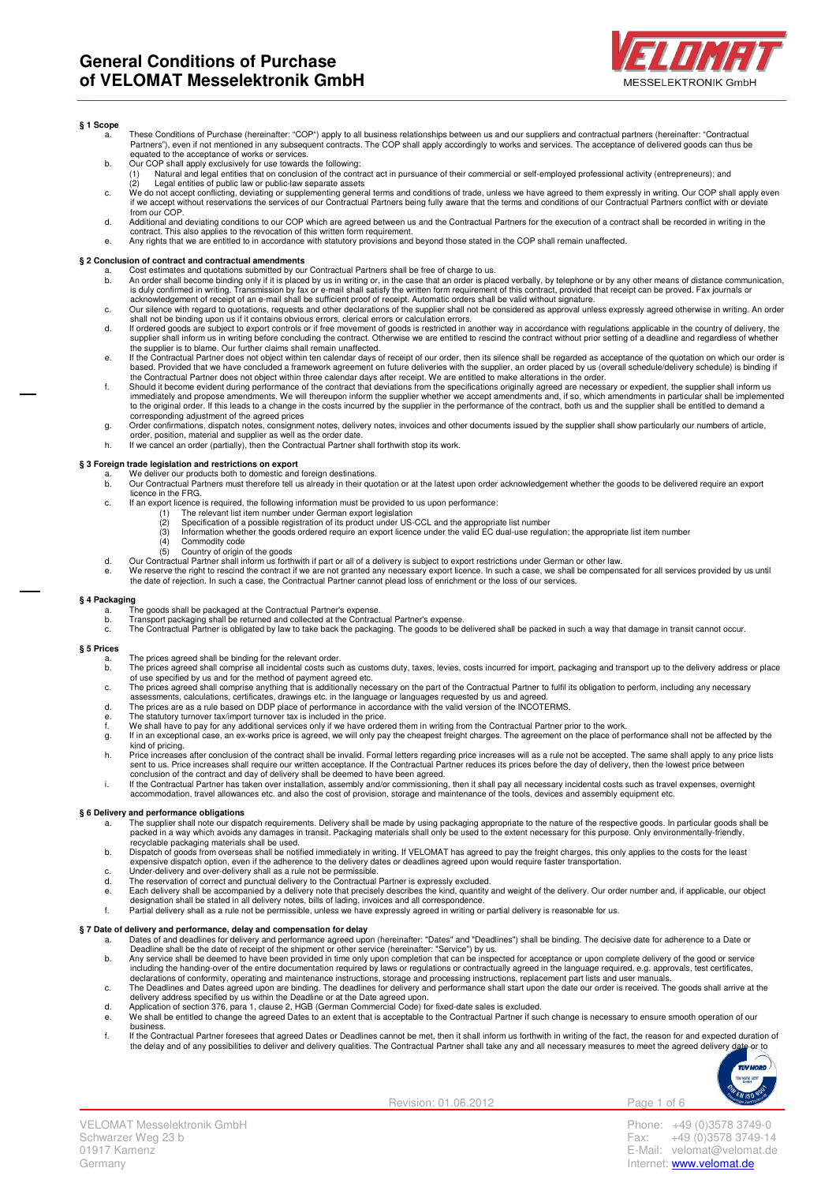

## **§ 1 Scope**

- a. These Conditions of Purchase (hereinafter: "COP") apply to all business relationships between us and our suppliers and contractual partners (hereinafter: "Contractual Partners"), even if not mentioned in any subsequent contracts. The COP shall apply accordingly to works and services. The acceptance of delivered goods can thus be<br>equated to the acceptance of works or services.
- 
- b. Our COP shall apply exclusively for use towards the following:<br>(1) Natural and legal entities that on conclusion of the contract act in pursuance of their commercial or self-employed professional activity (entrepreneurs
- (2) Legal entities of public law or public-law separate assets<br>C. We do not accept conflicting, deviating or supplementing general terms and conditions of trade, unless we have agreed to them expressly in writing. Our COP from our COP
- d. Additional and deviating conditions to our COP which are agreed between us and the Contractual Partners for the execution of a contract shall be recorded in writing in the
- contract. This also applies to the revocation of this written form requirement. e. Any rights that we are entitled to in accordance with statutory provisions and beyond those stated in the COP shall remain unaffected.

## **§ 2 Conclusion of contract and contractual amendments**

- 
- a. Cost estimates and quotations submitted by our Contractual Partners shall be free of charge to us.<br>b. An order shall become binding only if it is placed by us in writing or, in the case that an order is placed verbally,
- c. Our silence with regard to quotations, requests and other declarations of the supplier shall not be considered as approval unless expressly agreed otherwise in writing. An order<br>shall not be binding upon us if it contai
- d. If ordered goods are subject to export controls or if free movement of goods is restricted in another way in accordance with regulations applicable in the country of delivery, the supplier shall inform us in writing before concluding the contract. Otherwise we are entitled to rescind the contract without prior setting of a deadline and regardless of whether<br>the supplier is to blame. Our further clai
- e. If the Contractual Partner does not object within ten calendar days of receipt of our order, then its silence shall be regarded as acceptance of the quotation on which our order is<br>based. Provided that we have concluded
- the Contractual Partner does not object within three calendar days after receipt. We are entitled to make alterations in the order.<br>f. Should it become evident during performance of the contract that deviations from the sp immediately and propose amendments. We will thereupon inform the supplier whether we accept amendments and, if so, which amendments in particular shall be implemented<br>to the original order. If this leads to a change in the
- corresponding adjustment of the agreed prices g. Order confirmations, dispatch notes, consignment notes, delivery notes, invoices and other documents issued by the supplier shall show particularly our numbers of article, order, position, material and supplier as well as the order date.
- h. If we cancel an order (partially), then the Contractual Partner shall forthwith stop its work.

## **§ 3 Foreign trade legislation and restrictions on export**

- a. We deliver our products both to domestic and foreign destinations.<br>b. Our Contractual Partners must therefore tell us already in their que
- b. Our Contractual Partners must therefore tell us already in their quotation or at the latest upon order acknowledgement whether the goods to be delivered require an export licence in the FRG.
- c. If an export licence is required, the following information must be provided to us upon performance:
	- (1) The relevant list item number under German export legislation<br>(2) Specification of a possible registration of its product under  $1\text{S}$
	-
	- (2) Specification of a possible registration of its product under US-CCL and the appropriate list number<br>(3) Information whether the goods ordered require an export licence under the valid EC dual-use regulation; the appro
	- $(4)$  Commodity code<br>(5) Country of origin Country of origin of the goods
- d. Our Contractual Partner shall inform us forthwith if part or all of a delivery is subject to export restrictions under German or other law.
- e. We reserve the right to rescind the contract if we are not granted any necessary export licence. In such a case, we shall be compensated for all services provided by us until<br>the date of rejection. In such a case, the C

# **§ 4 Packaging**

- 
- 
- a. The goods shall be packaged at the Contractual Partner's expense.<br>b. Transport packaging shall be returned and collected at the Contractual Partner's expense.<br>c. The Contractual Partner is obligated by law to take

#### **§ 5 Prices**

- a. The prices agreed shall be binding for the relevant order.
- The prices agreed shall comprise all incidental costs such as customs duty, taxes, levies, costs incurred for import, packaging and transport up to the delivery address or place
- of use specified by us and for the method of payment agreed etc.<br>c. The prices agreed shall comprise anything that is additionally necessary on the part of the Contractual Partner to fulfil its obligation to perform, inclu
- assessments, calculations, certificates, drawings etc. in the language or languages requested by us and agreed.<br>d. The prices are as a rule based on DDP place of performance in accordance with the valid version of the
- 
- 
- g. If in an exceptional case, an ex-works price is agreed, we will only pay the cheapest freight charges. The agreement on the place of performance shall not be affected by the kind of pricing.
- h. Price increases after conclusion of the contract shall be invalid. Formal letters regarding price increases will as a rule not be accepted. The same shall apply to any price lists<br>sent to us. Price increases shall requi
- conclusion of the contract and day of delivery shall be deemed to have been agreed.<br>i. If the Contractual Partner has taken over installation, assembly and/or commissioning, then it shall pay all necessary incidental costs accommodation, travel allowances etc. and also the cost of provision, storage and maintenance of the tools, devices and assembly equipment etc.

#### **§ 6 Delivery and performance obligations**

- a. The supplier shall note our dispatch requirements. Delivery shall be made by using packaging appropriate to the nature of the respective goods. In particular goods shall be<br>packed in a way which avoids any damages in tr
- recyclable packaging materials shall be used. b. Dispatch of goods from overseas shall be notified immediately in writing. If VELOMAT has agreed to pay the freight charges, this only applies to the costs for the least
- 
- 
- 
- expensive dispatch option, even if the adherence to the delivery dates or deadlines agreed upon would require faster transportation.<br>C. Under-delivery and over-delivery shall as a rule not be permissible.<br>The reservation o

# **§ 7 Date of delivery and performance, delay and compensation for delay**

- a. Dates of and deadlines for delivery and performance agreed upon (hereinafter: "Dates" and "Deadlines") shall be binding. The decisive date for adherence to a Date or<br>Deadline shall be the date of receipt of the shipment
- including the handing-over of the entire documentation required by laws or regulations or contractually agreed in the language required, e.g. approvals, test certificates,<br>declarations of conformity, operating and maintena
- c. The Deadlines and Dates agreed upon are binding. The deadlines for delivery and performance shall start upon the date our order is received. The goods shall arrive at the delivery address specified by us within the Deadline or at the Date agreed upon. d. Application of section 376, para 1, clause 2, HGB (German Commercial Code) for fixed-date sales is excluded.
- e. We shall be entitled to change the agreed Dates to an extent that is acceptable to the Contractual Partner if such change is necessary to ensure smooth operation of our business.
- f. If the Contractual Partner foresees that agreed Dates or Deadlines cannot be met, then it shall inform us forthwith in writing of the fact, the reason for and expected duration of<br>He delay and of any possibilities to de



Revision: 01.06.2012 Page 1 of 6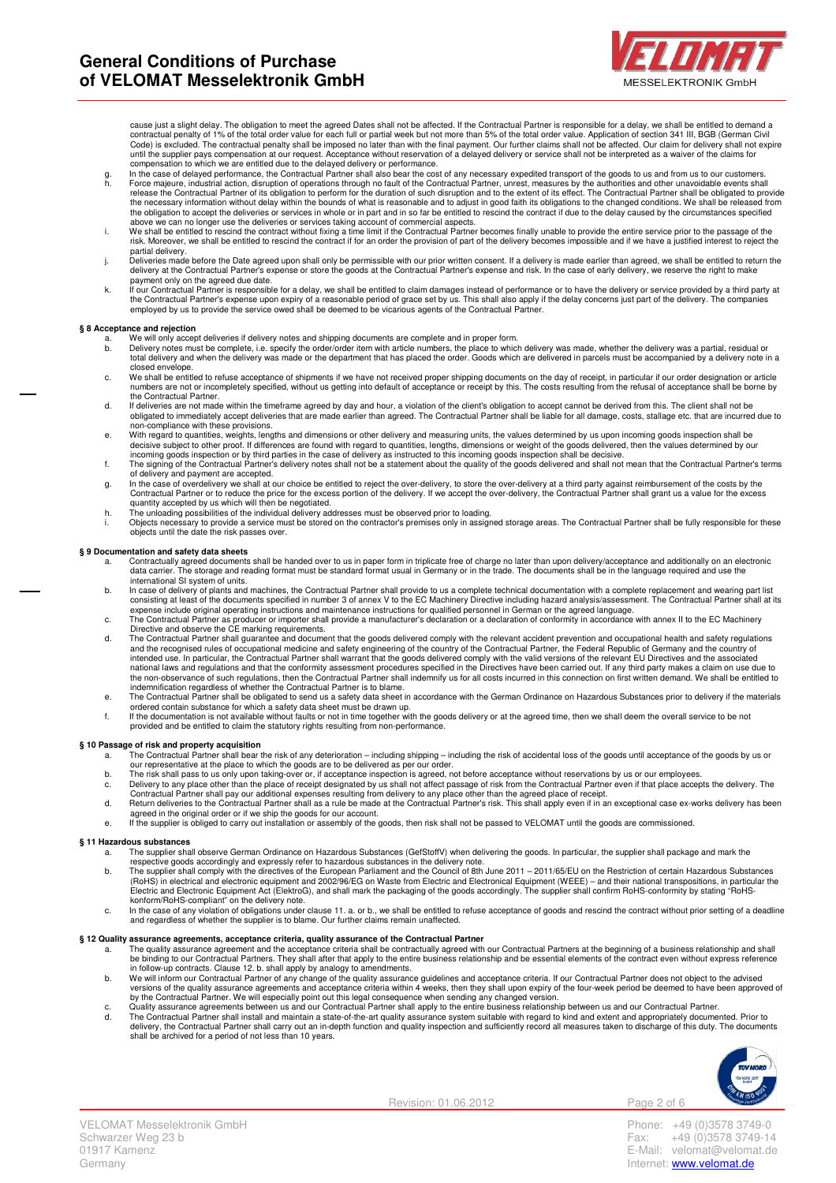

cause just a slight delay. The obligation to meet the agreed Dates shall not be affected. If the Contractual Partner is responsible for a delay, we shall be entitled to demand a<br>contractual penalty of 1% of the total order Code) is excluded. The contractual penalty shall be imposed no later than with the final payment. Our further claims shall not be affected. Our claim for delivery shall not expire<br>until the supplier pays compensation at ou compensation to which we are entitled due to the delayed delivery or performance.

- In the case of delayed performance, the Contractual Partner shall also bear the cost of any necessary expedited transport of the goods to us and from us to our customers. h. Force majeure, industrial action, disruption of operations through no fault of the Contractual Partner, unrest, measures by the authorities and other unavoidable events shall<br>release the Contractual Partner of its oblig the necessary information without delay within the bounds of what is reasonable and to adjust in good faith its obligations to the changed conditions. We shall be released from the obligation to accept the deliveries or services in whole or in part and in so far be entitled to rescind the contract if due to the delay caused by the circumstances specified the obligation to accept the deliveries or
- above we can no longer use the deliveries or services taking account of commercial aspects.<br>We shall be entitled to rescind the contract without fixing a time limit if the Contractual Partner becomes finally unable to prov
- partial delivery.<br>j. Deliveries made before the Date agreed upon shall only be permissible with our prior written consent. If a delivery is made earlier than agreed, we shall be entitled to return the delivery at the Contractual Partner's expense or store the goods at the Contractual Partner's expense and risk. In the case of early delivery, we reserve the right to make
- payment only on the agreed due date.<br>If our Contractual Partner is responsible for a delay, we shall be entitled to claim damages instead of performance or to have the delivery or service provided by a third party at<br>the C employed by us to provide the service owed shall be deemed to be vicarious agents of the Contractual Partner.

## **§ 8 Acceptance and rejection**

- 
- a. We will only accept deliveries if delivery notes and shipping documents are complete and in proper form.<br>b. Delivery notes must be complete, i.e. specify the order/order item with article numbers, the place to which del total delivery and when the delivery was made or the department that has placed the order. Goods which are delivered in parcels must be accompanied by a delivery note in a closed envelope.
- c. We shall be entitled to refuse acceptance of shipments if we have not received proper shipping documents on the day of receipt, in particular if our order designation or article<br>numbers are not or incompletely specified the Contractual Partner.
- d. If deliveries are not made within the timeframe agreed by day and hour, a violation of the client's obligation to accept cannot be derived from this. The client shall not be obligated to immediately accept deliveries that are made earlier than agreed. The Contractual Partner shall be liable for all damage, costs, stallage etc. that are incurred due to non-compliance with these provisions.
- e. With regard to quantities, weights, lengths and dimensions or other delivery and measuring units, the values determined by us upon incoming goods inspection shall be<br>decisive subject to other proof. If differences are f
- incoming goods inspection or by third parties in the case of delivery as instructed to this incoming goods inspection shall be decisive.<br>f. The signing of the Contractual Partner's delivery notes shall not be a statement a of delivery and payment are accepted.
- g. In the case of overdelivery we shall at our choice be entitled to reject the over-delivery, to store the over-delivery at a third party against reimbursement of the costs by the<br>Contractual Partner or to reduce the pric quantity accepted by us which will then be negotiated.
- h. The unloading possibilities of the individual delivery addresses must be observed prior to loading.
- i. Objects necessary to provide a service must be stored on the contractor's premises only in assigned storage areas. The Contractual Partner shall be fully responsible for these objects until the date the risk passes over.

## **§ 9 Documentation and safety data sheets**

- a. Contractually agreed documents shall be handed over to us in paper form in triplicate free of charge no later than upon delivery/acceptance and additionally on an electronic<br>data carrier. The storage and reading format international SI system of units.
- b. In case of delivery of plants and machines, the Contractual Partner shall provide to us a complete technical documentation with a complete replacement and wearing part list<br>consisting at least of the documents specified expense include original operating instructions and maintenance instructions for qualified personnel in German or the agreed language.<br>C. The Contractual Partner as producer or importer shall provide a manufacturer's decla
- Directive and observe the CE marking requirements. d. The Contractual Partner shall guarantee and document that the goods delivered comply with the relevant accident prevention and occupational health and safety regulations
- and the recognised rules of occupational medicine and safety engineering of the country of the Contractual Partner, the Federal Republic of Germany and the country of<br>intended use. In particular, the Contractual Partner sh
- e. The Contractual Partner shall be obligated to send us a safety data sheet in accordance with the German Ordinance on Hazardous Substances prior to delivery if the materials
- ordered contain substance for which a safety data sheet must be drawn up.<br>If the documentation is not available without faults or not in time together with the goods delivery or at the agreed time, then we shall deem the o

## **§ 10 Passage of risk and property acquisition**

- 
- 
- The Contractual Partner shall bear the risk of any deterioration including shipping including the risk of accidental loss of the goods until acceptance of the goods by us or<br>our representative at the place to which the
- agreed in the original order or if we ship the goods for our account.
- e. If the supplier is obliged to carry out installation or assembly of the goods, then risk shall not be passed to VELOMAT until the goods are commissioned.

#### **§ 11 Hazardous substances**

- a. The supplier shall observe German Ordinance on Hazardous Substances (GefStoffV) when delivering the goods. In particular, the supplier shall package and mark the
- respective goods accordingly and expressly refer to hazardous substances in the delivery note.<br>b. The supplier shall comply with the directives of the European Parliament and the June 2011–2011/65/EU on the Restricti Electric and Electronic Equipment Act (ElektroG), and shall mark the packaging of the goods accordingly. The supplier shall confirm RoHS-conformity by stating "RoHS-
- konform/RoHS-compliant" on the delivery note.<br>c. In the case of any violation of obligations under clause 11. a. or b., we shall be entitled to refuse acceptance of goods and rescind the contract without prior setting of a

## **§ 12 Quality assurance agreements, acceptance criteria, quality assurance of the Contractual Partner**

- a. The quality assurance agreement and the acceptance criteria shall be contractually agreed with our Contractual Partners at the beginning of a business relationship and shall<br>be binding to our Contractual Partners. They
- in follow-up contracts. Clause 12. b. shall apply by analogy to amendments.<br>b. We will inform our Contractual Partner of any change of the quality assurance guidelines and acceptance criteria. If our Contractual Partner do
- versions of the quality assurance agreements and acceptance criteria within 4 weeks, then they shall upon expiry of the four-week period be deemed to have been approved of<br>by the Contractual Partner. We will especially poi shall be archived for a period of not less than 10 years.



Revision: 01.06.2012 Page 2 of 6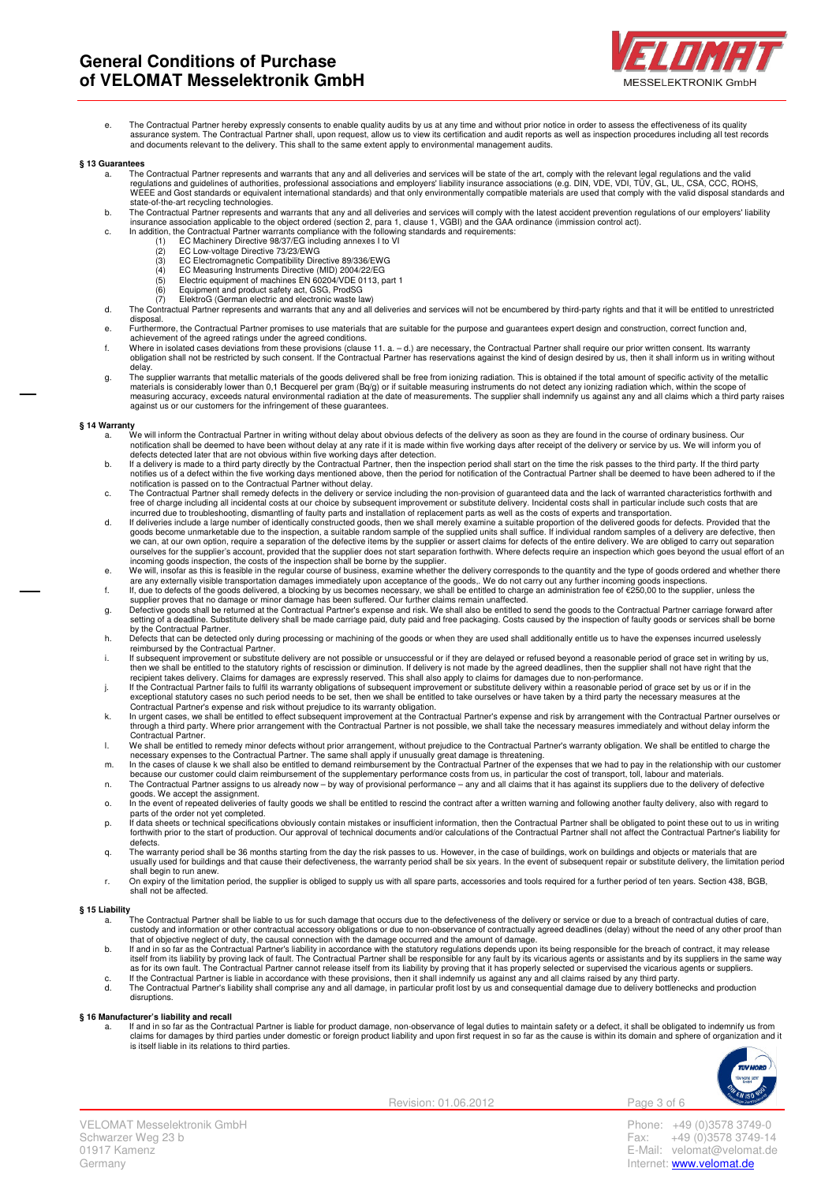

e. The Contractual Partner hereby expressly consents to enable quality audits by us at any time and without prior notice in order to assess the effectiveness of its quality<br>assurance system. The Contractual Partner shall, and documents relevant to the delivery. This shall to the same extent apply to environmental management audits.

#### **§ 13 Guarantees**

- a. The Contractual Partner represents and warrants that any and all deliveries and services will be state of the art, comply with the relevant legal regulations and the valid<br>regulations and guidelines of authorities, prof state-of-the-art recycling technologies.
- b. The Contractual Partner represents and warrants that any and all deliveries and services will comply with the latest accident prevention regulations of our employers' liability<br>insurance association applicable to the ob
	- -
		- (2) EC Low-voltage Directive 73/23/EWG (3) EC Electromagnetic Compatibility Directive 89/336/EWG
		-
		- (4) EC Measuring Instruments Directive (MID) 2004/22/EG (5) Electric equipment of machines EN 60204/VDE 0113, part 1
	-
	- (6) Equipment and product safety act, GSG, ProdSG (7) ElektroG (German electric and electronic waste law)
- d. The Contractual Partner represents and warrants that any and all deliveries and services will not be encumbered by third-party rights and that it will be entitled to unrestricted disposal.
- e. Furthermore, the Contractual Partner promises to use materials that are suitable for the purpose and guarantees expert design and construction, correct function and,
- achievement of the agreed ratings under the agreed conditions.<br>f. Where in isolated cases deviations from these provisions (clause 11. a. d.) are necessary, the Contractual Partner shall require our prior written consent obligation shall not be restricted by such consent. If the Contractual Partner has reservations against the kind of design desired by us, then it shall inform us in writing without delay.
- g. The supplier warrants that metallic materials of the goods delivered shall be free from ionizing radiation. This is obtained if the total amount of specific activity of the metallic<br>materials is considerably lower than

- **§ 14 Warranty**<br>a. We will inform the Contractual Partner in writing without delay about obvious defects of the delivery as soon as they are found in the course of ordinary business. Our notification shall be deemed to have been without delay at any rate if it is made within five working days after receipt of the delivery or service by us. We will inform you of
	- defects detected later that are not obvious within five working days after detection.<br>
	In a delivery is made to a third party directly by the Contractual Partner, then the inspection period shall start on the time the risk
	- incurred due to troubleshooting, dismantling of faulty parts and installation of replacement parts as well as the costs of experts and transportation.
	- d. If deliveries include a large number of identically constructed goods, then we shall merely examine a suitable proportion of the delivered goods for defects. Provided that the<br>goods become unmarketable due to the inspec we can, at our own option, require a separation of the defective items by the supplier or assert claims for defects of the entire delivery. We are obliged to carry out separation ourselves for the supplier's account, provided that the supplier does not start separation forthwith. Where defects require an inspection which goes beyond the usual effort of an
	- incoming goods inspection, the costs of the inspection shall be borne by the supplier.<br>e. We will, insofar as this is feasible in the regular course of business, examine whether the delivery corresponds to the quantity and
	- f. If, due to defects of the goods delivered, a blocking by us becomes necessary, we shall be entitled to charge an administration fee of €250,00 to the supplier, unless the<br>supplier proves that no damage or minor damage
	- g. Defective goods shall be returned at the Contractual Partner's expense and risk. We shall also be entitled to send the goods to the Contractual Partner carriage forward after<br>setting of a deadline. Substitute delivery s by the Contractual Partner.
	- h. Defects that can be detected only during processing or machining of the goods or when they are used shall additionally entitle us to have the expenses incurred uselessly
	- reimbursed by the Contractual Partner. i. If subsequent improvement or substitute delivery are not possible or unsuccessful or if they are delayed or refused beyond a reasonable period of grace set in writing by us, then we shall be entitled to the statutory rights of rescission or diminution. If delivery is not made by the agreed deadlines, then the supplier shall not have right that the<br>recipient takes delivery. Claims for damages a
	-
	- exceptional statutory cases no such period needs to be set, then we shall be entitled to take ourselves or have taken by a third party the necessary measures at the<br>Contractual Partner's expense and risk without prejudice Contractual Partner.
	- l. We shall be entitled to remedy minor defects without prior arrangement, without prejudice to the Contractual Partner's warranty obligation. We shall be entitled to charge the
	- necessary expenses to the Contractual Partner. The same shall apply if unusually great damage is threatening.<br>m. In the cases of clause k we shall also be entitled to demand reimbursement by the Contractual Partner of because our customer could claim reimbursement of the supplementary performance costs from us, in particular the cost of transport, toll, labour and materials.<br>n. The Contractual Partner assigns to us already now – by way
	- goods. We accept the assignment.<br>o. In the event of repeated deliveries of faulty goods we shall be entitled to rescind the contract after a written warning and following another faulty delivery, also with regard to
	- parts of the order not yet completed.
	- p. If data sheets or technical specifications obviously contain mistakes or insufficient information, then the Contractual Partner shall be obligated to point these out to us in writing<br>forthwith prior to the start of prod defects.
	- q. The warranty period shall be 36 months starting from the day the risk passes to us. However, in the case of buildings, work on buildings and objects or materials that are usually used for buildings and that cause their defectiveness, the warranty period shall be six years. In the event of subsequent repair or substitute delivery, the limitation period shall begin to run anew
	- r. On expiry of the limitation period, the supplier is obliged to supply us with all spare parts, accessories and tools required for a further period of ten years. Section 438, BGB, shall not be affected.

- **§ 15 Liability**<br>a. The Contractual Partner shall be liable to us for such damage that occurs due to the defectiveness of the delivery or service or due to a breach of contractual duties of care, custody and information or other contractual accessory obligations or due to non-observance of contractually agreed deadlines (delay) without the need of any other proof than<br>that of objective neglect of duty, the causal c
	- b. If and in so far as the Contractual Partner's liability in accordance with the statutory regulations depends upon its being responsible for the breach of contract, it may release<br>itself from its liability by proving lac as for its own fault. The Contractual Partner cannot release itself from its liability by proving that it has properly selected or supervised the vicarious agents or suppliers.<br>C. If the Contractual Partner is liable in ac
	- d. The Contractual Partner's liability shall comprise any and all damage, in particular profit lost by us and consequential damage due to delivery bottlenecks and production disruptions.

§ 16 Manufacturer's liability and recall<br>a. If and in so far as the Contractual Partner is liable for product damage, non-observance of legal duties to maintain safety or a defect, it shall be obligated to indemnify us fro claims for damages by third parties under domestic or foreign product liability and upon first request in so far as the cause is within its domain and sphere of organization and it is itself liable in its relations to third parties.



Revision: 01.06.2012 Page 3 of 6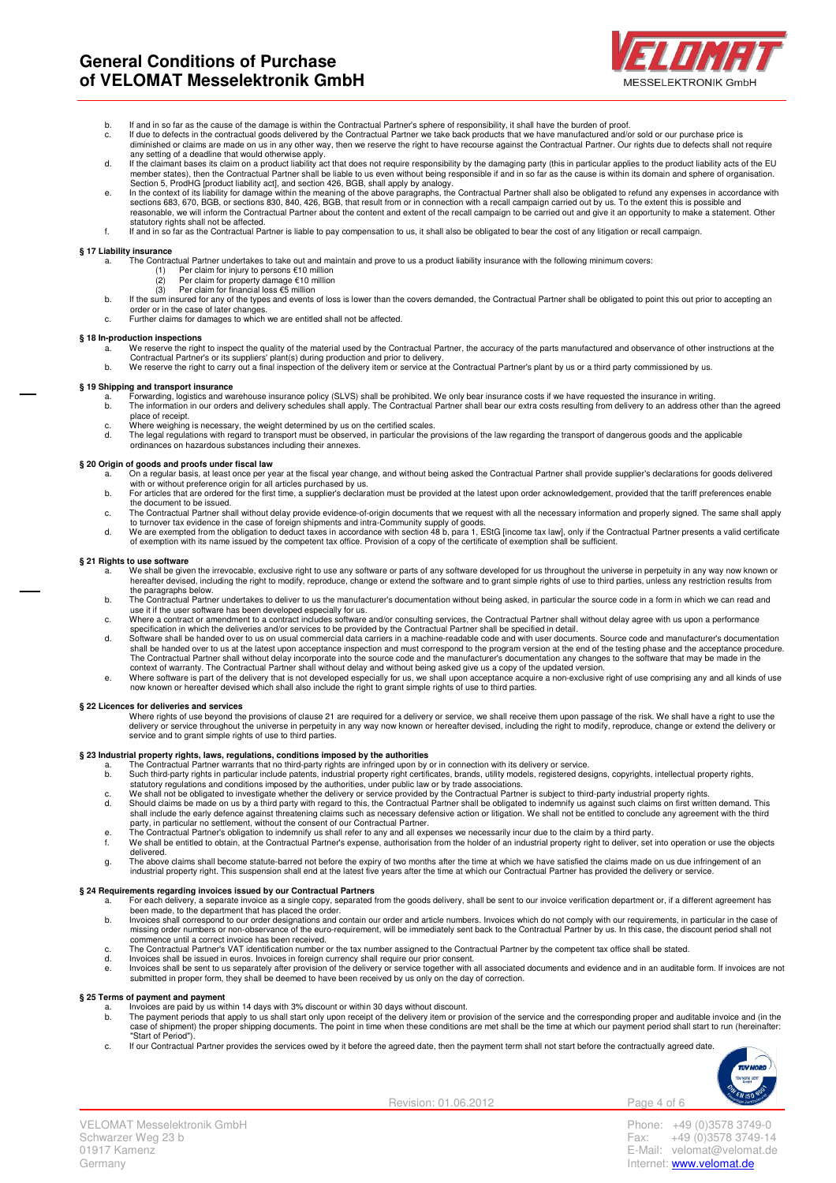

- 
- b. If and in so far as the cause of the damage is within the Contractual Partner's sphere of responsibility, it shall have the burden of proof.<br>c. If due to defects in the contractual goods delivered by the Contractual Par diminished or claims are made on us in any other way, then we reserve the right to have recourse against the Contractual Partner. Our rights due to defects shall not require<br>any setting of a deadline that would otherwise a
- d. If the claimant bases its claim on a product liability act that does not require responsibility by the damaging party (this in particular applies to the product liability acts of the EU<br>.member states), then the Contrac
- Section 5, ProdHG [product liability act], and section 426, BGB, shall apply by analogy.<br>In the context of its liability for damage within the meaning of the above paragraphs, the Contractual Partner shall also be obligate reasonable, we will inform the Contractual Partner about the content and extent of the recall campaign to be carried out and give it an opportunity to make a statement. Other statutory rights shall not be affected.
- f. If and in so far as the Contractual Partner is liable to pay compensation to us, it shall also be obligated to bear the cost of any litigation or recall campaign.

# **§ 17 Liability insurance**

- a. The Contractual Partner undertakes to take out and maintain and prove to us a product liability insurance with the following minimum covers:<br>(1) Per claim for injury to persons €10 million
	-
	- (1) Per claim for injury to persons €10 million (2) Per claim for property damage €10 million (3) Per claim for financial loss €5 million
- b. If the sum insured for any of the types and events of loss is lower than the covers demanded, the Contractual Partner shall be obligated to point this out prior to accepting an
- order or in the case of later changes. c. Further claims for damages to which we are entitled shall not be affected.

#### **§ 18 In-production inspections**

- a. We reserve the right to inspect the quality of the material used by the Contractual Partner, the accuracy of the parts manufactured and observance of other instructions at the
- Contractual Partner's or its suppliers' plant(s) during production and prior to delivery.<br>b. We reserve the right to carry out a final inspection of the delivery item or service at the Contractual Partner's plant by us or

## **§ 19 Shipping and transport insurance**

- a. Forwarding, logistics and warehouse insurance policy (SLVS) shall be prohibited. We only bear insurance costs if we have requested the insurance in writing.<br>b. The information in our orders and delivery schedules shall place of receipt.
- c. Where weighing is necessary, the weight determined by us on the certified scales.<br>d. The legal regulations with regard to transport must be observed, in particular the p
- d. The legal regulations with regard to transport must be observed, in particular the provisions of the law regarding the transport of dangerous goods and the applicable<br>ordinances on hazardous substances including their a

## **§ 20 Origin of goods and proofs under fiscal law**

- a. On a regular basis, at least once per year at the fiscal year change, and without being asked the Contractual Partner shall provide supplier's declarations for goods delivered<br>with or without preference origin for all a
- the document to be issued.
- c. The Contractual Partner shall without delay provide evidence-of-origin documents that we request with all the necessary information and properly signed. The same shall apply<br>to turnover tax evidence in the case of forei
- of exemption with its name issued by the competent tax office. Provision of a copy of the certificate of exemption shall be sufficient.

#### **§ 21 Rights to use software**

- a. We shall be given the irrevocable, exclusive right to use any software or parts of any software developed for us throughout the universe in perpetuity in any way now known or<br>hereafter devised, including the right to mo the paragraphs below.
- b. The Contractual Partner undertakes to deliver to us the manufacturer's documentation without being asked, in particular the source code in a form in which we can read and
- use it if the user software has been developed especially for us.<br>c. Where a contract or amendment to a contract includes software and/or consulting services, the Contractual Partner shall without delay agree with us upon
- specification in which the deliveries and/or services to be provided by the Contractual Partner shall be specified in detail.<br>d. Software shall be handed over to us on usual commercial data carriers in a machine-readable c shall be handed over to us at the latest upon acceptance inspection and must correspond to the program version at the end of the testing phase and the acceptance procedure.<br>The Contractual Partner shall without delay incor
- context of warranty. The Contractual Partner shall without delay and without being asked give us a copy of the updated version.<br>e. Where software is part of the delivery that is not developed especially for us, we sh

#### **§ 22 Licences for deliveries and services**

Where rights of use beyond the provisions of clause 21 are required for a delivery or service, we shall receive them upon passage of the risk. We shall have a right to use the<br>delivery or service throughout the universe in service and to grant simple rights of use to third parties.

- § 23 Industrial property rights, laws, regulations, conditions imposed by the authorities<br>a. The Contractual Partner warrants that no third-party rights are infringed upon by or in connection with its delivery or service.
	- b. Such third-party rights in particular include patents, industrial property right certificates, brands, utility models, registered designs, copyrights, intellectual property rights,<br>statutory regulations and conditions i
	- c. We shall not be obligated to investigate whether the delivery or service provided by the Contractual Partner is subject to third-party industrial property rights.<br>d. Should claims be made on us by a third party with reg
	- party, in particular no settlement, without the consent of our Contractual Partner.<br>e. The Contractual Partner's obligation to indemnify us shall refer to any and all expenses we necessarily incur due to the claim by a thi
	- f. We shall be entitled to obtain, at the Contractual Partner's expense, authorisation from the holder of an industrial property right to deliver, set into operation or use the objects delivered.
	- g. The above claims shall become statute-barred not before the expiry of two months after the time at which we have satisfied the claims made on us due infringement of an<br>industrial property right. This suspension shall en

#### **§ 24 Requirements regarding invoices issued by our Contractual Partners**

- a. For each delivery, a separate invoice as a single copy, separated from the goods delivery, shall be sent to our invoice verification department or, if a different agreement has<br>been made, to the department that has plac
- b. Invoices shall correspond to our order designations and contain our order and article numbers. Invoices which do not comply with our requirements, in particular in the case of<br>missing order numbers or non-observance of commence until a correct invoice has been received.
- 
- 
- c. The Contractual Partner's VAT identification number or the tax number assigned to the Contractual Partner by the competent tax office shall be stated.<br>d. Invoices shall be issued in euros. Invoices in foreign currency s

# **§ 25 Terms of payment and payment**

- 
- a. Invoices are paid by us within 14 days with 3% discount or within 30 days without discount.<br>b. The payment periods that apply to us shall start only upon receipt of the delivery item or provision of the service and the
- "Start of Period"). c. If our Contractual Partner provides the services owed by it before the agreed date, then the payment term shall not start before the contractually agreed date.



Revision: 01.06.2012 Page 4 of 6

Germany **Internet:** www.velomat.de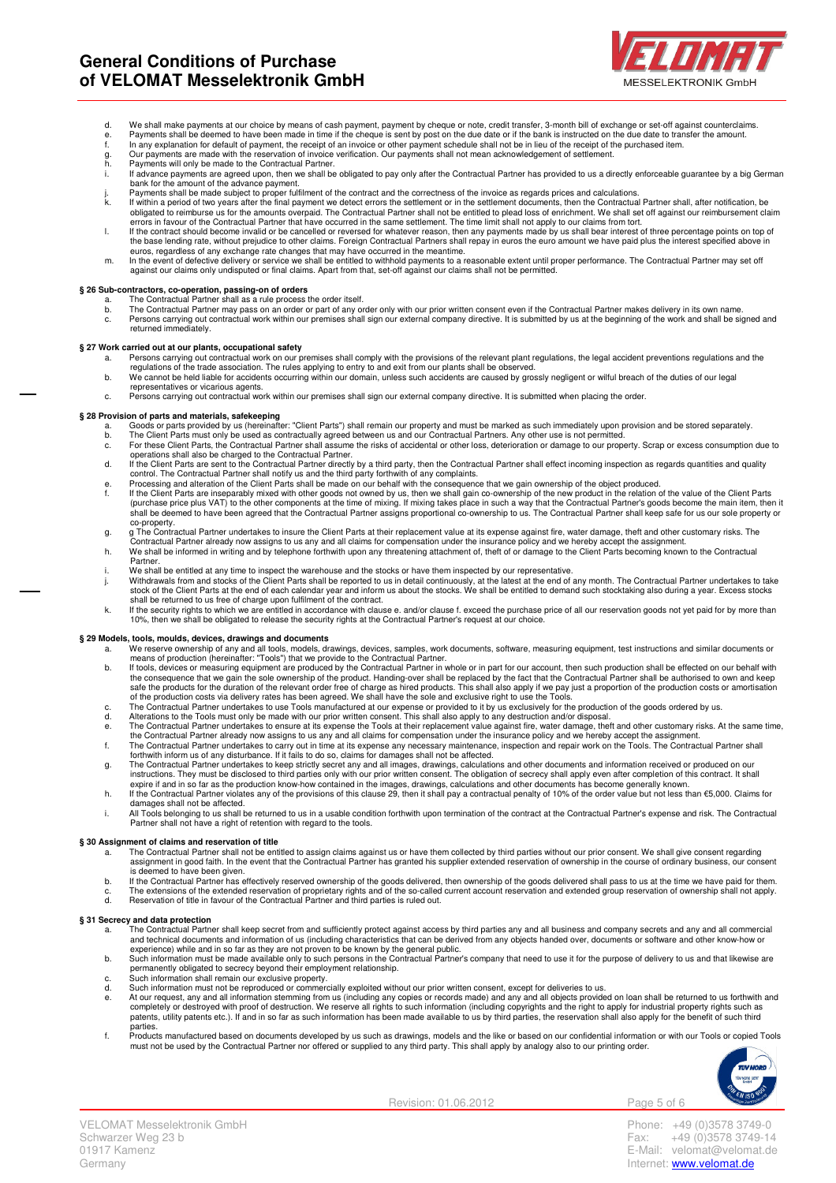

- 
- d. We shall make payments at our choice by means of cash payment, payment by cheque or note, credit transfer, 3-month bill of exchange or set-off against counterclaims.<br>6. Payments shall be deemed to have been made in time
- 
- g. Our payments are made with the reservation of invoice<br>h. Payments will only be made to the Contractual Partner.
- i. If advance payments are agreed upon, then we shall be obligated to pay only after the Contractual Partner has provided to us a directly enforceable guarantee by a big German
- bank for the amount of the advance payment.<br>j. Payments shall be made subject to proper fulfilment of the contract and the correctness of the invoice as regards prices and calculations.<br>k. If within a period of two years a
- obligated to reimburse us for the amounts overpaid. The Contractual Partner shall not be entitled to plead loss of enrichment. We shall set off against our reimbursement claim errors in favour of the Contractual Partner that have occurred in the same settlement. The time limit shall not apply to our claims from tort.<br>If the contract should become invalid or be cancelled or reversed for whatever
- euros, regardless of any exchange rate changes that may have occurred in the meantime.<br>m. In the event of defective delivery or service we shall be entitled to withhold payments to a reasonable extent until proper performa
- against our claims only undisputed or final claims. Apart from that, set-off against our claims shall not be permitted.

## **§ 26 Sub-contractors, co-operation, passing-on of orders**

- a. The Contractual Partner shall as a rule process the order itself.
- b. The Contractual Partner may pass on an order or part of any order only with our prior written consent even if the Contractual Partner makes delivery in its own name.<br>c. Persons carrying out contractual work within our p returned immediately.

#### **§ 27 Work carried out at our plants, occupational safety**

- a. Persons carrying out contractual work on our premises shall comply with the provisions of the relevant plant regulations, the legal accident preventions regulations and the<br>regulations of the trade association. The rule
- representatives or vicarious agents.
- c. Persons carrying out contractual work within our premises shall sign our external company directive. It is submitted when placing the order.

- S 28 Provision of parts and materials, safekeeping<br>a. Goods or parts provided by us (hereinalter: "Client Parts") shall remain our property and must be marked as such immediately upon provision and be stored separately.<br>b.
	- operations shall also be charged to the Contractual Partner.
	- d. If the Client Parts are sent to the Contractual Partner directly by a third party, then the Contractual Partner shall effect incoming inspection as regards quantities and quality<br>control. The Contractual Partner shall n
	-
	- e. Processing and alteration of the Client Parts shall be made on our behalf with the consequence that we gain ownership of the object produced.<br>f. If the Client Parts are inseparably mixed with other goods not owned by us shall be deemed to have been agreed that the Contractual Partner assigns proportional co-ownership to us. The Contractual Partner shall keep safe for us our sole property or
	- co-property.<br>g. g The Contractual Partner undertakes to insure the Client Parts at their replacement value at its expense against fire, water damage, theft and other customary risks. The<br>Contractual Partner already now a
	- h. We shall be informed in writing and by telephone forthwith upon any threatening attachment of, theft of or damage to the Client Parts becoming known to the Contractual **Partner**
	-
	- i. We shall be entitled at any time to inspect the warehouse and the stocks or have them inspected by our representative.<br>j. Withdrawals from and stocks of the Client Parts shall be reported to us in detail continuously, a stock of the Client Parts at the end of each calendar year and inform us about the stocks. We shall be entitled to demand such stocktaking also during a year. Excess stocks<br>shall be returned to us free of charge upon fulfi
	- k. If the security rights to which we are entitled in accordance with clause e. and/or clause f. exceed the purchase price of all our reservation goods not yet paid for by more than<br>10%, then we shall be obligated to relea

# **§ 29 Models, tools, moulds, devices, drawings and documents**

- 
- We reserve ownership of any and all tools, models, drawings, devices, samples, work documents, software, measuring equipment, test instructions and similar documents or<br>means of production (hereinafter: "Tools") that we pr
- of the production costs via delivery rates has been agreed. We shall have the sole and exclusive right to use the Tools.<br>c. The Contractual Partner undertakes to use Tools manufactured at our expense or provided to i
- 
- the Contractual Partner already now assigns to us any and all claims for compensation under the insurance policy and we hereby accept the assignment.<br>f. The Contractual Partner undertakes to carry out in time at its expens
- 
- forthwith inform us of any disturbance. If it fails to do so, claims for damages shall not be affected.<br>The Contractual Partner undertakes to keep strictly secret any and all mages, drawings, calculations and other documen
- h. If the Contractual Partner violates any of the provisions of this clause 29, then it shall pay a contractual penalty of 10% of the order value but not less than €5,000. Claims for
- damages shall not be affected.<br>i. All Tools belonging to us shall be returned to us in a usable condition forthwith upon termination of the contract at the Contractual Partner's expense and risk. The Contractual Partner shall not have a right of retention with regard to the tools.

#### **§ 30 Assignment of claims and reservation of title**

- a. The Contractual Partner shall not be entitled to assign claims against us or have them collected by third parties without our prior consent. We shall give consent regarding assignment in good faith. In the event that the Contractual Partner has granted his supplier extended reservation of ownership in the course of ordinary business, our consent is deemed to have been given.
- b. If the Contractual Partner has effectively reserved ownership of the goods delivered, then ownership of the goods delivered shall pass to us at the time we have paid for them. c. The extensions of the extended reservation of proprietary rights and of the so-called current account reservation and extended group reservation of ownership shall not apply.<br>d. Reservation of title in favour of the Con

#### **§ 31 Secrecy and data protection**

- The Contractual Partner shall keep secret from and sufficiently protect against access by third parties any and all business and company secrets and any and all commercial and technical documents and information of us (including characteristics that can be derived from any objects handed over, documents or software and other know-how or<br>experience) while and in so far as they are not proven
- 
- permanently obligated to secrecy beyond their employment relationship. c. Such information shall remain our exclusive property.
- 
- d. Such information must not be reproduced or commercially exploited without our prior written consent, except for deliveries to us.<br>At our request, any and all information stemming from us (including any incorders made) a .<br>parties
- f. Products manufactured based on documents developed by us such as drawings, models and the like or based on our confidential information or with our Tools or copied Tools<br>must not be used by the Contractual Partner nor o



Revision: 01.06.2012 Page 5 of 6